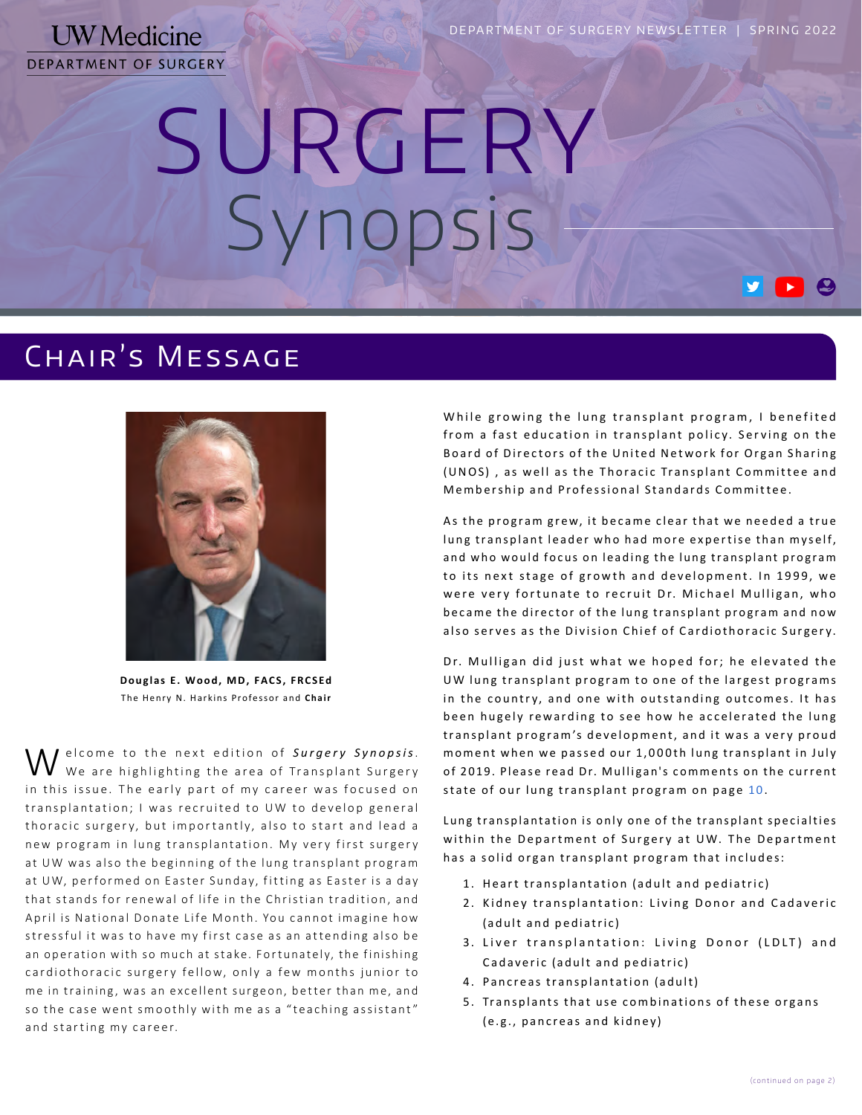SURGERY Synopsis

## Chair's Message



**Douglas E. Wood, MD, FACS, FRCSEd** The Henry N. Harkins Professor and **Chair**

elcome to the next edition of *Surgery Synopsis*. We are highlighting the area of Transplant Surgery in this issue. The early part of my career was focused on transplantation; I was recruited to UW to develop general thoracic surgery, but importantly, also to start and lead a new program in lung transplantation. My very first surgery at UW was also the beginning of the lung transplant program at UW, performed on Easter Sunday, fitting as Easter is a day that stands for renewal of life in the Christian tradition, and April is National Donate Life Month. You cannot imagine how stressful it was to have my first case as an attending also be an operation with so much at stake. Fortunately, the finishing cardiothoracic surgery fellow, only a few months junior to me in training, was an excellent surgeon, better than me, and so the case went smoothly with me as a "teaching assistant" and starting my career.

While growing the lung transplant program, I benefited from a fast education in transplant policy. Serving on the Board of Directors of the United Network for Organ Sharing (UNOS), as well as the Thoracic Transplant Committee and Membership and Professional Standards Committee.

As the program grew, it became clear that we needed a true lung transplant leader who had more expertise than myself, and who would focus on leading the lung transplant program to its next stage of growth and development. In 1999, we were very fortunate to recruit Dr. Michael Mulligan, who became the director of the lung transplant program and now also serves as the Division Chief of Cardiothoracic Surgery.

Dr. Mulligan did just what we hoped for; he elevated the UW lung transplant program to one of the largest programs in the country, and one with outstanding outcomes. It has been hugely rewarding to see how he accelerated the lung transplant program's development, and it was a very proud moment when we passed our 1,000th lung transplant in July of 2019. Please read Dr. Mulligan's comments on the current state of our lung transplant program on page 10.

Lung transplantation is only one of the transplant specialties within the Department of Surgery at UW. The Department has a solid organ transplant program that includes:

- 1 . Heart transplantation (adult and pediatric)
- 2. Kidney transplantation: Living Donor and Cadaveric (adult and pediatric)
- 3. Liver transplantation: Living Donor (LDLT) and Cadaveric (adult and pediatric)
- 4. Pancreas transplantation (adult)
- 5 . Transplants that use combinations of these organs (e.g., pancreas and kidney)